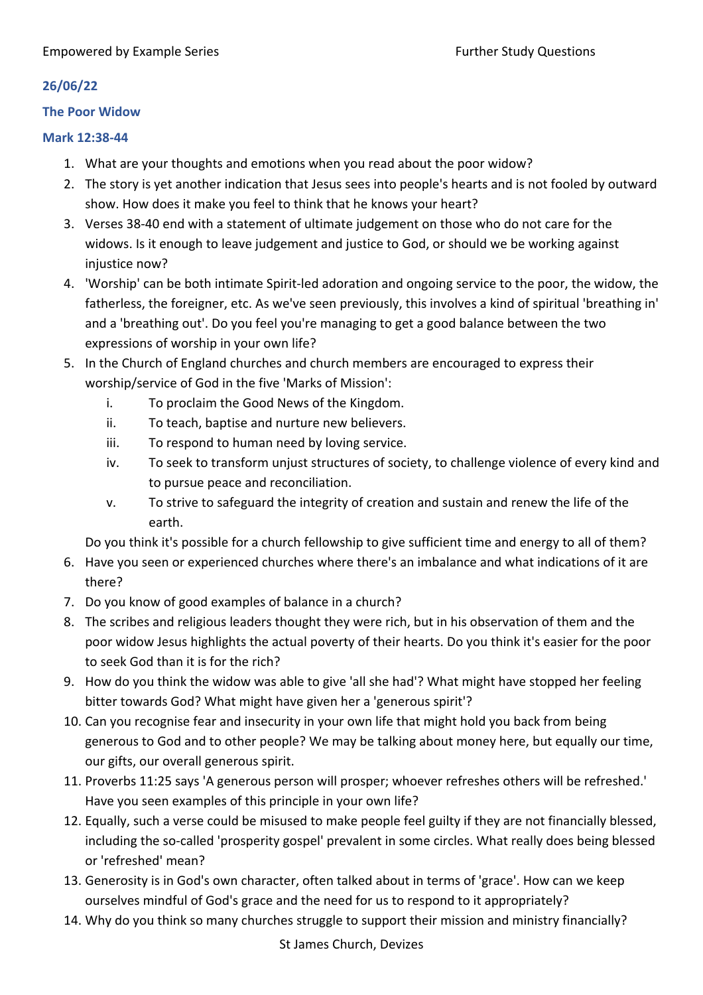## **The Poor Widow**

## **Mark 12:38-44**

- 1. What are your thoughts and emotions when you read about the poor widow?
- 2. The story is yet another indication that Jesus sees into people's hearts and is not fooled by outward show. How does it make you feel to think that he knows your heart?
- 3. Verses 38-40 end with a statement of ultimate judgement on those who do not care for the widows. Is it enough to leave judgement and justice to God, or should we be working against injustice now?
- 4. 'Worship' can be both intimate Spirit-led adoration and ongoing service to the poor, the widow, the fatherless, the foreigner, etc. As we've seen previously, this involves a kind of spiritual 'breathing in' and a 'breathing out'. Do you feel you're managing to get a good balance between the two expressions of worship in your own life?
- 5. In the Church of England churches and church members are encouraged to express their worship/service of God in the five 'Marks of Mission':
	- i. To proclaim the Good News of the Kingdom.
	- ii. To teach, baptise and nurture new believers.
	- iii. To respond to human need by loving service.
	- iv. To seek to transform unjust structures of society, to challenge violence of every kind and to pursue peace and reconciliation.
	- v. To strive to safeguard the integrity of creation and sustain and renew the life of the earth.

Do you think it's possible for a church fellowship to give sufficient time and energy to all of them?

- 6. Have you seen or experienced churches where there's an imbalance and what indications of it are there?
- 7. Do you know of good examples of balance in a church?
- 8. The scribes and religious leaders thought they were rich, but in his observation of them and the poor widow Jesus highlights the actual poverty of their hearts. Do you think it's easier for the poor to seek God than it is for the rich?
- 9. How do you think the widow was able to give 'all she had'? What might have stopped her feeling bitter towards God? What might have given her a 'generous spirit'?
- 10. Can you recognise fear and insecurity in your own life that might hold you back from being generous to God and to other people? We may be talking about money here, but equally our time, our gifts, our overall generous spirit.
- 11. Proverbs 11:25 says 'A generous person will prosper; whoever refreshes others will be refreshed.' Have you seen examples of this principle in your own life?
- 12. Equally, such a verse could be misused to make people feel guilty if they are not financially blessed, including the so-called 'prosperity gospel' prevalent in some circles. What really does being blessed or 'refreshed' mean?
- 13. Generosity is in God's own character, often talked about in terms of 'grace'. How can we keep ourselves mindful of God's grace and the need for us to respond to it appropriately?
- 14. Why do you think so many churches struggle to support their mission and ministry financially?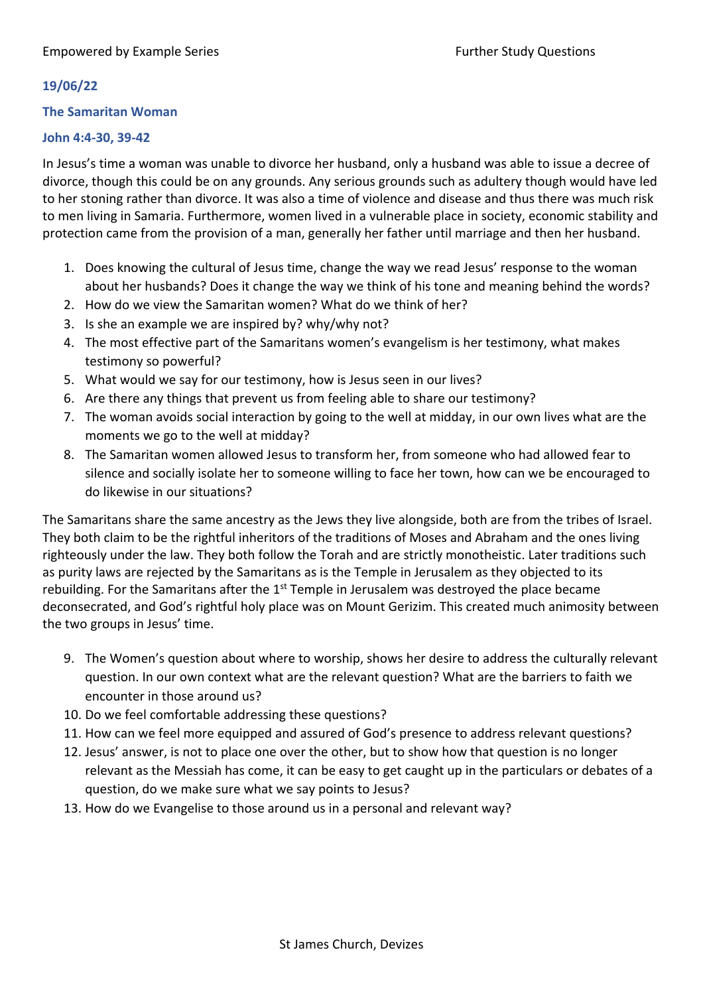## **The Samaritan Woman**

## **John 4:4-30, 39-42**

In Jesus's time a woman was unable to divorce her husband, only a husband was able to issue a decree of divorce, though this could be on any grounds. Any serious grounds such as adultery though would have led to her stoning rather than divorce. It was also a time of violence and disease and thus there was much risk to men living in Samaria. Furthermore, women lived in a vulnerable place in society, economic stability and protection came from the provision of a man, generally her father until marriage and then her husband.

- 1. Does knowing the cultural of Jesus time, change the way we read Jesus' response to the woman about her husbands? Does it change the way we think of his tone and meaning behind the words?
- 2. How do we view the Samaritan women? What do we think of her?
- 3. Is she an example we are inspired by? why/why not?
- 4. The most effective part of the Samaritans women's evangelism is her testimony, what makes testimony so powerful?
- 5. What would we say for our testimony, how is Jesus seen in our lives?
- 6. Are there any things that prevent us from feeling able to share our testimony?
- 7. The woman avoids social interaction by going to the well at midday, in our own lives what are the moments we go to the well at midday?
- 8. The Samaritan women allowed Jesus to transform her, from someone who had allowed fear to silence and socially isolate her to someone willing to face her town, how can we be encouraged to do likewise in our situations?

The Samaritans share the same ancestry as the Jews they live alongside, both are from the tribes of Israel. They both claim to be the rightful inheritors of the traditions of Moses and Abraham and the ones living righteously under the law. They both follow the Torah and are strictly monotheistic. Later traditions such as purity laws are rejected by the Samaritans as is the Temple in Jerusalem as they objected to its rebuilding. For the Samaritans after the 1<sup>st</sup> Temple in Jerusalem was destroyed the place became deconsecrated, and God's rightful holy place was on Mount Gerizim. This created much animosity between the two groups in Jesus' time.

- 9. The Women's question about where to worship, shows her desire to address the culturally relevant question. In our own context what are the relevant question? What are the barriers to faith we encounter in those around us?
- 10. Do we feel comfortable addressing these questions?
- 11. How can we feel more equipped and assured of God's presence to address relevant questions?
- 12. Jesus' answer, is not to place one over the other, but to show how that question is no longer relevant as the Messiah has come, it can be easy to get caught up in the particulars or debates of a question, do we make sure what we say points to Jesus?
- 13. How do we Evangelise to those around us in a personal and relevant way?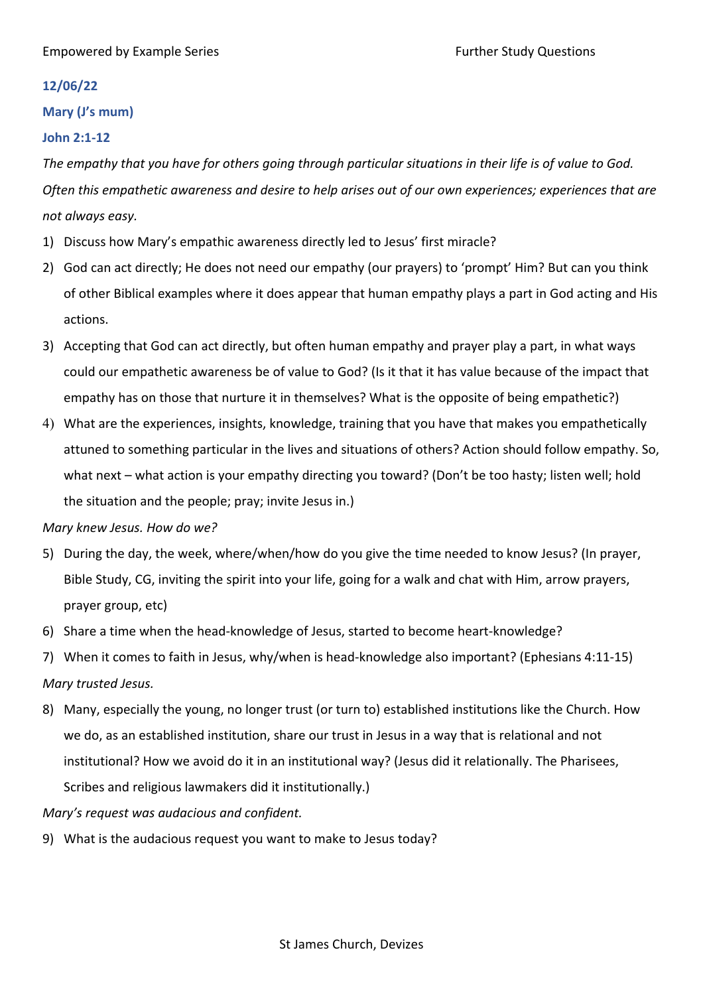## **Mary (J's mum)**

## **John 2:1-12**

*The empathy that you have for others going through particular situations in their life is of value to God. Often this empathetic awareness and desire to help arises out of our own experiences; experiences that are not always easy.*

- 1) Discuss how Mary's empathic awareness directly led to Jesus' first miracle?
- 2) God can act directly; He does not need our empathy (our prayers) to 'prompt' Him? But can you think of other Biblical examples where it does appear that human empathy plays a part in God acting and His actions.
- 3) Accepting that God can act directly, but often human empathy and prayer play a part, in what ways could our empathetic awareness be of value to God? (Is it that it has value because of the impact that empathy has on those that nurture it in themselves? What is the opposite of being empathetic?)
- 4) What are the experiences, insights, knowledge, training that you have that makes you empathetically attuned to something particular in the lives and situations of others? Action should follow empathy. So, what next – what action is your empathy directing you toward? (Don't be too hasty; listen well; hold the situation and the people; pray; invite Jesus in.)

## *Mary knew Jesus. How do we?*

- 5) During the day, the week, where/when/how do you give the time needed to know Jesus? (In prayer, Bible Study, CG, inviting the spirit into your life, going for a walk and chat with Him, arrow prayers, prayer group, etc)
- 6) Share a time when the head-knowledge of Jesus, started to become heart-knowledge?
- 7) When it comes to faith in Jesus, why/when is head-knowledge also important? (Ephesians 4:11-15) *Mary trusted Jesus.*
- 8) Many, especially the young, no longer trust (or turn to) established institutions like the Church. How we do, as an established institution, share our trust in Jesus in a way that is relational and not institutional? How we avoid do it in an institutional way? (Jesus did it relationally. The Pharisees, Scribes and religious lawmakers did it institutionally.)

## *Mary's request was audacious and confident.*

9) What is the audacious request you want to make to Jesus today?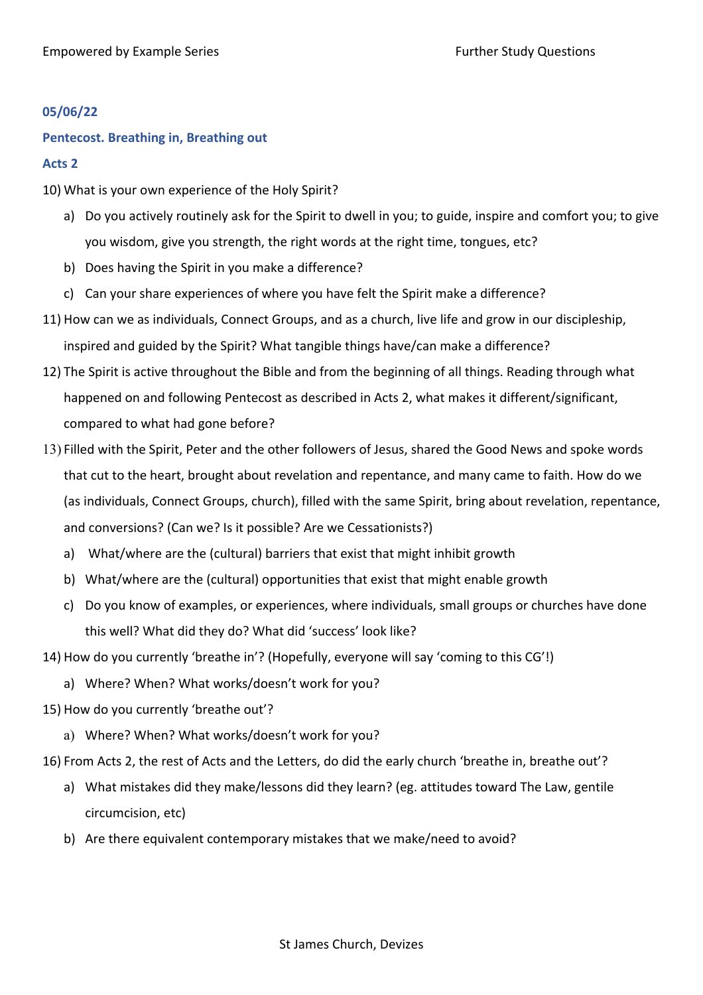## **Pentecost. Breathing in, Breathing out**

#### **Acts 2**

- 10) What is your own experience of the Holy Spirit?
	- a) Do you actively routinely ask for the Spirit to dwell in you; to guide, inspire and comfort you; to give you wisdom, give you strength, the right words at the right time, tongues, etc?
	- b) Does having the Spirit in you make a difference?
	- c) Can your share experiences of where you have felt the Spirit make a difference?
- 11) How can we as individuals, Connect Groups, and as a church, live life and grow in our discipleship, inspired and guided by the Spirit? What tangible things have/can make a difference?
- 12) The Spirit is active throughout the Bible and from the beginning of all things. Reading through what happened on and following Pentecost as described in Acts 2, what makes it different/significant, compared to what had gone before?
- 13) Filled with the Spirit, Peter and the other followers of Jesus, shared the Good News and spoke words that cut to the heart, brought about revelation and repentance, and many came to faith. How do we (as individuals, Connect Groups, church), filled with the same Spirit, bring about revelation, repentance, and conversions? (Can we? Is it possible? Are we Cessationists?)
	- a) What/where are the (cultural) barriers that exist that might inhibit growth
	- b) What/where are the (cultural) opportunities that exist that might enable growth
	- c) Do you know of examples, or experiences, where individuals, small groups or churches have done this well? What did they do? What did 'success' look like?
- 14) How do you currently 'breathe in'? (Hopefully, everyone will say 'coming to this CG'!)
	- a) Where? When? What works/doesn't work for you?
- 15) How do you currently 'breathe out'?
	- a) Where? When? What works/doesn't work for you?
- 16) From Acts 2, the rest of Acts and the Letters, do did the early church 'breathe in, breathe out'?
	- a) What mistakes did they make/lessons did they learn? (eg. attitudes toward The Law, gentile circumcision, etc)
	- b) Are there equivalent contemporary mistakes that we make/need to avoid?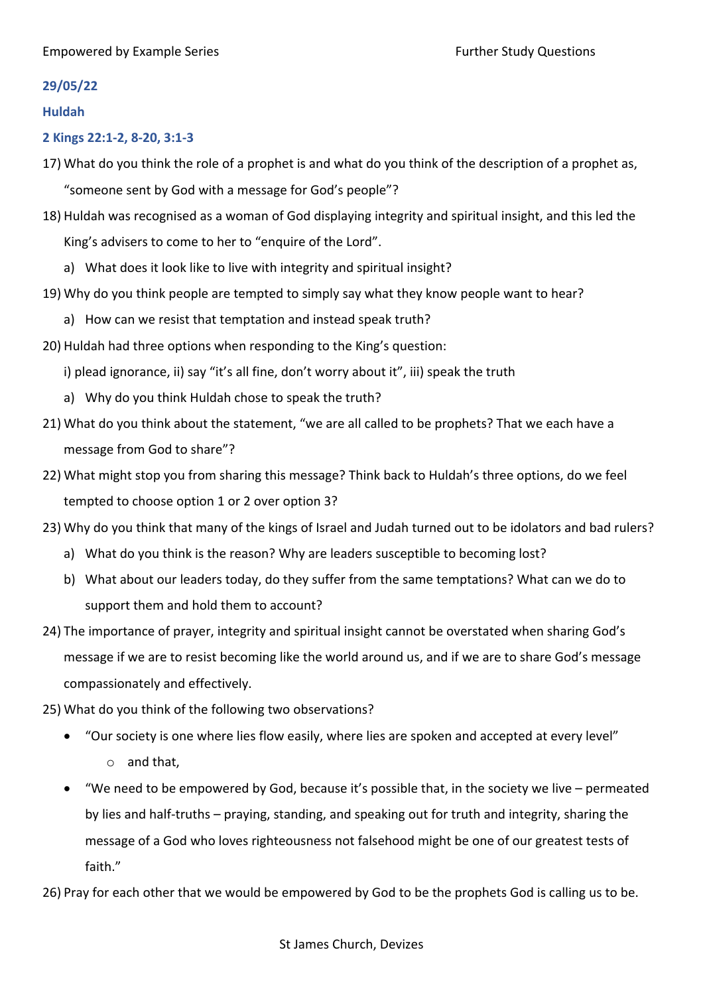#### **29/05/22**

#### **Huldah**

## **2 Kings 22:1-2, 8-20, 3:1-3**

17) What do you think the role of a prophet is and what do you think of the description of a prophet as,

"someone sent by God with a message for God's people"?

- 18) Huldah was recognised as a woman of God displaying integrity and spiritual insight, and this led the King's advisers to come to her to "enquire of the Lord".
	- a) What does it look like to live with integrity and spiritual insight?
- 19) Why do you think people are tempted to simply say what they know people want to hear?
	- a) How can we resist that temptation and instead speak truth?
- 20) Huldah had three options when responding to the King's question:

i) plead ignorance, ii) say "it's all fine, don't worry about it", iii) speak the truth

- a) Why do you think Huldah chose to speak the truth?
- 21) What do you think about the statement, "we are all called to be prophets? That we each have a message from God to share"?
- 22) What might stop you from sharing this message? Think back to Huldah's three options, do we feel tempted to choose option 1 or 2 over option 3?
- 23) Why do you think that many of the kings of Israel and Judah turned out to be idolators and bad rulers?
	- a) What do you think is the reason? Why are leaders susceptible to becoming lost?
	- b) What about our leaders today, do they suffer from the same temptations? What can we do to support them and hold them to account?
- 24) The importance of prayer, integrity and spiritual insight cannot be overstated when sharing God's message if we are to resist becoming like the world around us, and if we are to share God's message compassionately and effectively.
- 25) What do you think of the following two observations?
	- "Our society is one where lies flow easily, where lies are spoken and accepted at every level" o and that,
	- "We need to be empowered by God, because it's possible that, in the society we live permeated by lies and half-truths – praying, standing, and speaking out for truth and integrity, sharing the message of a God who loves righteousness not falsehood might be one of our greatest tests of faith."

26) Pray for each other that we would be empowered by God to be the prophets God is calling us to be.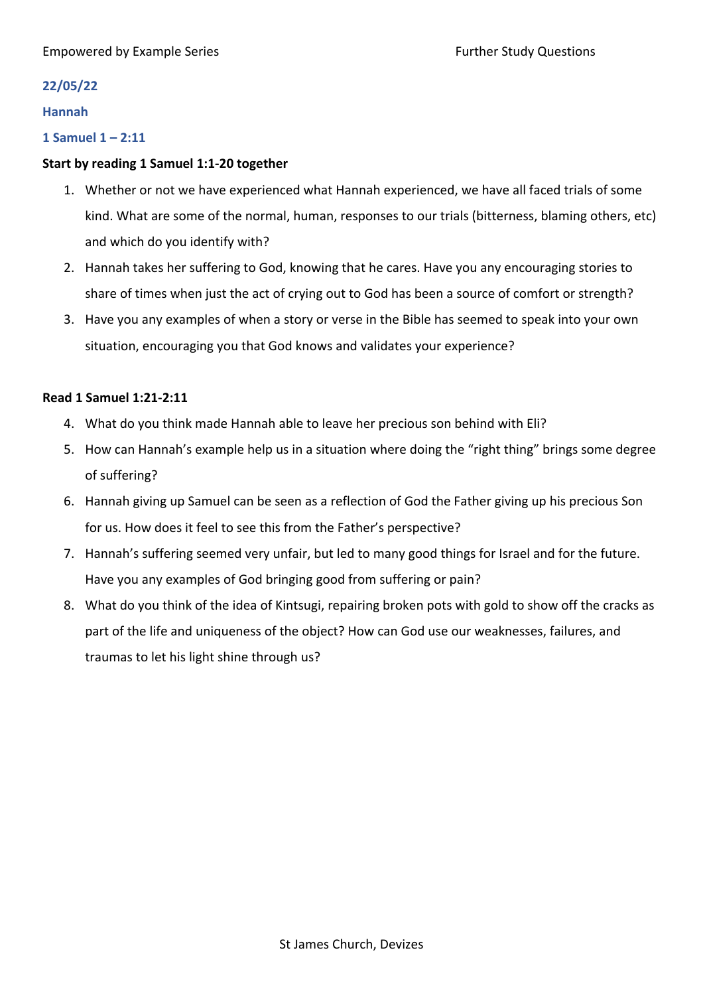## **22/05/22**

#### **Hannah**

## **1 Samuel 1 – 2:11**

## **Start by reading 1 Samuel 1:1-20 together**

- 1. Whether or not we have experienced what Hannah experienced, we have all faced trials of some kind. What are some of the normal, human, responses to our trials (bitterness, blaming others, etc) and which do you identify with?
- 2. Hannah takes her suffering to God, knowing that he cares. Have you any encouraging stories to share of times when just the act of crying out to God has been a source of comfort or strength?
- 3. Have you any examples of when a story or verse in the Bible has seemed to speak into your own situation, encouraging you that God knows and validates your experience?

## **Read 1 Samuel 1:21-2:11**

- 4. What do you think made Hannah able to leave her precious son behind with Eli?
- 5. How can Hannah's example help us in a situation where doing the "right thing" brings some degree of suffering?
- 6. Hannah giving up Samuel can be seen as a reflection of God the Father giving up his precious Son for us. How does it feel to see this from the Father's perspective?
- 7. Hannah's suffering seemed very unfair, but led to many good things for Israel and for the future. Have you any examples of God bringing good from suffering or pain?
- 8. What do you think of the idea of Kintsugi, repairing broken pots with gold to show off the cracks as part of the life and uniqueness of the object? How can God use our weaknesses, failures, and traumas to let his light shine through us?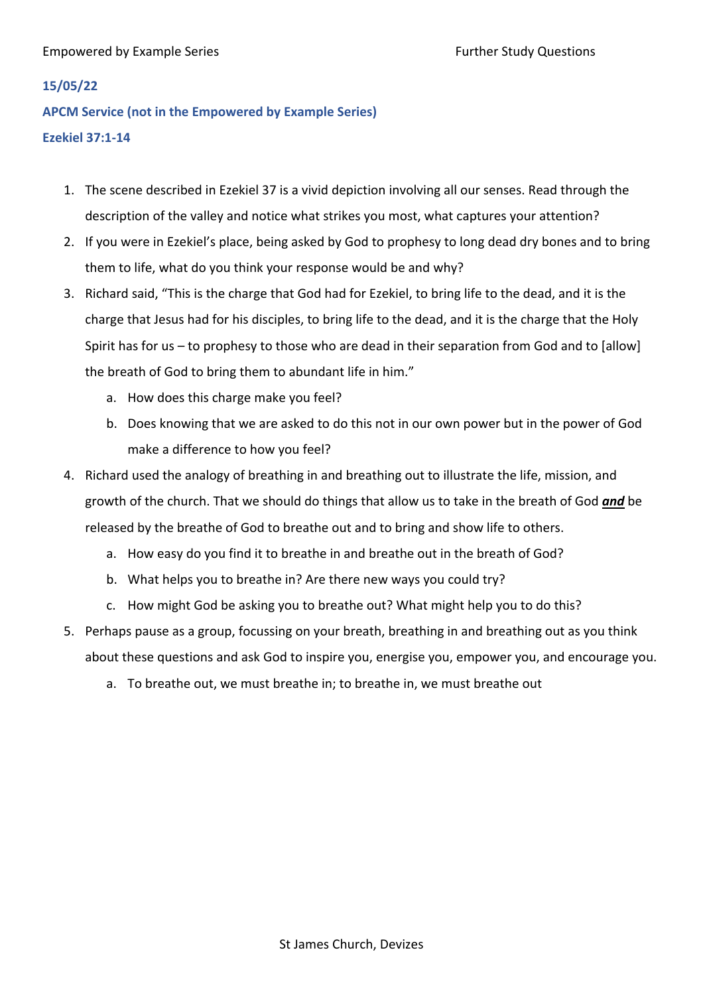## **15/05/22**

**APCM Service (not in the Empowered by Example Series) Ezekiel 37:1-14**

- 1. The scene described in Ezekiel 37 is a vivid depiction involving all our senses. Read through the description of the valley and notice what strikes you most, what captures your attention?
- 2. If you were in Ezekiel's place, being asked by God to prophesy to long dead dry bones and to bring them to life, what do you think your response would be and why?
- 3. Richard said, "This is the charge that God had for Ezekiel, to bring life to the dead, and it is the charge that Jesus had for his disciples, to bring life to the dead, and it is the charge that the Holy Spirit has for us – to prophesy to those who are dead in their separation from God and to [allow] the breath of God to bring them to abundant life in him."
	- a. How does this charge make you feel?
	- b. Does knowing that we are asked to do this not in our own power but in the power of God make a difference to how you feel?
- 4. Richard used the analogy of breathing in and breathing out to illustrate the life, mission, and growth of the church. That we should do things that allow us to take in the breath of God *and* be released by the breathe of God to breathe out and to bring and show life to others.
	- a. How easy do you find it to breathe in and breathe out in the breath of God?
	- b. What helps you to breathe in? Are there new ways you could try?
	- c. How might God be asking you to breathe out? What might help you to do this?
- 5. Perhaps pause as a group, focussing on your breath, breathing in and breathing out as you think about these questions and ask God to inspire you, energise you, empower you, and encourage you.
	- a. To breathe out, we must breathe in; to breathe in, we must breathe out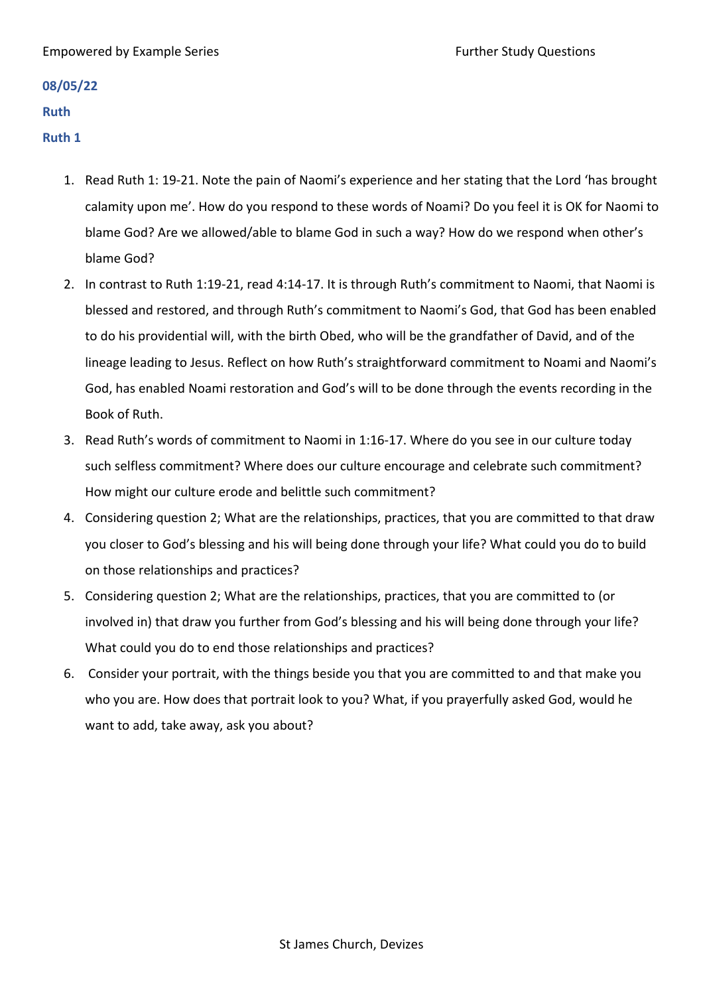#### Empowered by Example Series Further Study Questions

# **08/05/22**

#### **Ruth**

#### **Ruth 1**

- 1. Read Ruth 1: 19-21. Note the pain of Naomi's experience and her stating that the Lord 'has brought calamity upon me'. How do you respond to these words of Noami? Do you feel it is OK for Naomi to blame God? Are we allowed/able to blame God in such a way? How do we respond when other's blame God?
- 2. In contrast to Ruth 1:19-21, read 4:14-17. It is through Ruth's commitment to Naomi, that Naomi is blessed and restored, and through Ruth's commitment to Naomi's God, that God has been enabled to do his providential will, with the birth Obed, who will be the grandfather of David, and of the lineage leading to Jesus. Reflect on how Ruth's straightforward commitment to Noami and Naomi's God, has enabled Noami restoration and God's will to be done through the events recording in the Book of Ruth.
- 3. Read Ruth's words of commitment to Naomi in 1:16-17. Where do you see in our culture today such selfless commitment? Where does our culture encourage and celebrate such commitment? How might our culture erode and belittle such commitment?
- 4. Considering question 2; What are the relationships, practices, that you are committed to that draw you closer to God's blessing and his will being done through your life? What could you do to build on those relationships and practices?
- 5. Considering question 2; What are the relationships, practices, that you are committed to (or involved in) that draw you further from God's blessing and his will being done through your life? What could you do to end those relationships and practices?
- 6. Consider your portrait, with the things beside you that you are committed to and that make you who you are. How does that portrait look to you? What, if you prayerfully asked God, would he want to add, take away, ask you about?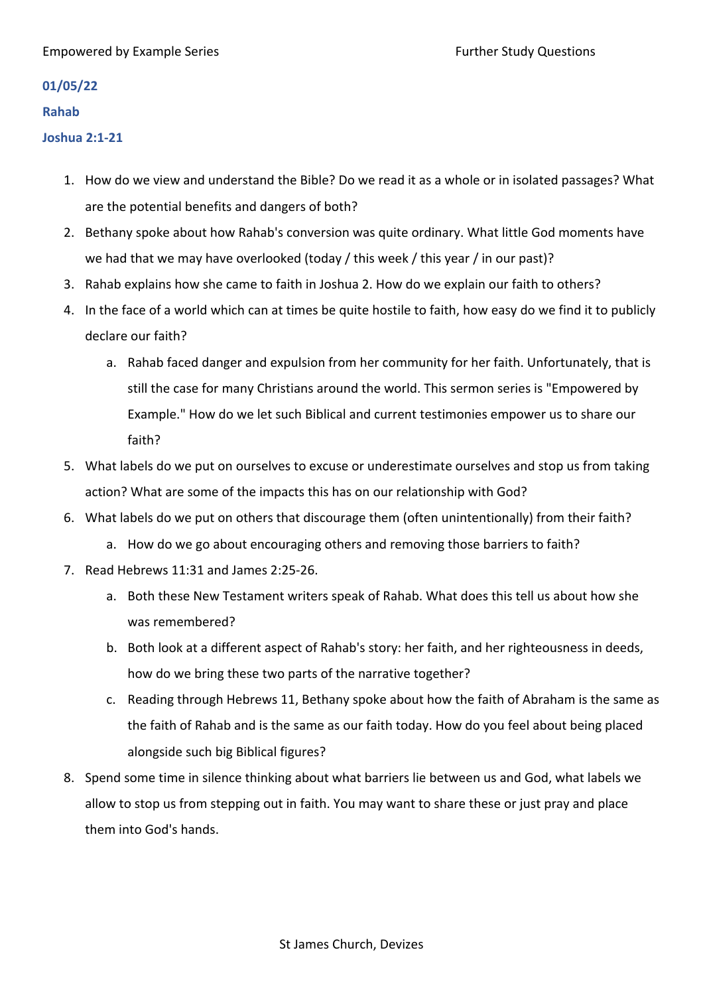#### Empowered by Example Series Further Study Questions

#### **01/05/22**

#### **Rahab**

## **Joshua 2:1-21**

- 1. How do we view and understand the Bible? Do we read it as a whole or in isolated passages? What are the potential benefits and dangers of both?
- 2. Bethany spoke about how Rahab's conversion was quite ordinary. What little God moments have we had that we may have overlooked (today / this week / this year / in our past)?
- 3. Rahab explains how she came to faith in Joshua 2. How do we explain our faith to others?
- 4. In the face of a world which can at times be quite hostile to faith, how easy do we find it to publicly declare our faith?
	- a. Rahab faced danger and expulsion from her community for her faith. Unfortunately, that is still the case for many Christians around the world. This sermon series is "Empowered by Example." How do we let such Biblical and current testimonies empower us to share our faith?
- 5. What labels do we put on ourselves to excuse or underestimate ourselves and stop us from taking action? What are some of the impacts this has on our relationship with God?
- 6. What labels do we put on others that discourage them (often unintentionally) from their faith?
	- a. How do we go about encouraging others and removing those barriers to faith?
- 7. Read Hebrews 11:31 and James 2:25-26.
	- a. Both these New Testament writers speak of Rahab. What does this tell us about how she was remembered?
	- b. Both look at a different aspect of Rahab's story: her faith, and her righteousness in deeds, how do we bring these two parts of the narrative together?
	- c. Reading through Hebrews 11, Bethany spoke about how the faith of Abraham is the same as the faith of Rahab and is the same as our faith today. How do you feel about being placed alongside such big Biblical figures?
- 8. Spend some time in silence thinking about what barriers lie between us and God, what labels we allow to stop us from stepping out in faith. You may want to share these or just pray and place them into God's hands.